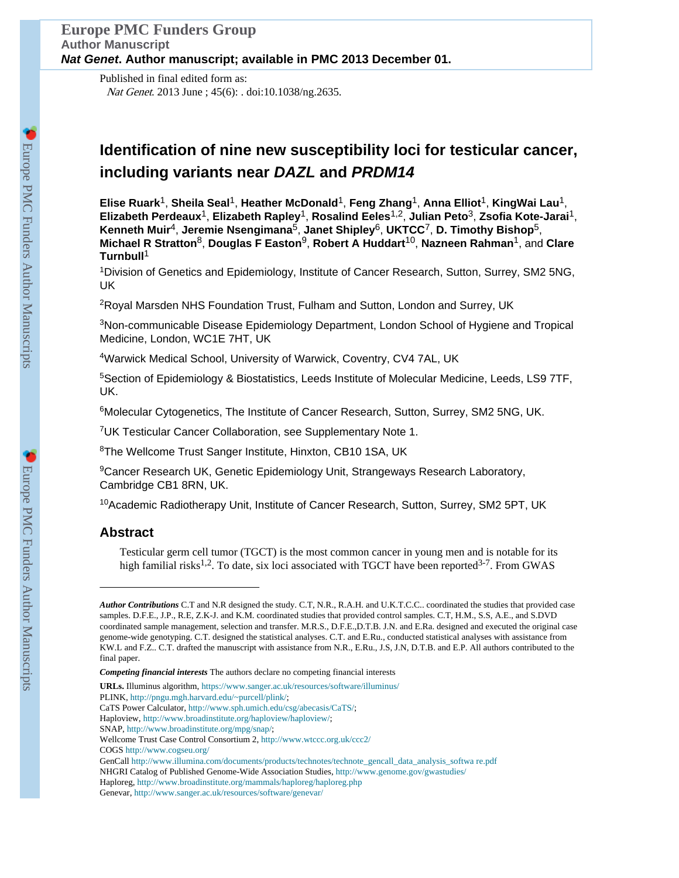Published in final edited form as: Nat Genet. 2013 June ; 45(6): . doi:10.1038/ng.2635.

# **Identification of nine new susceptibility loci for testicular cancer, including variants near** *DAZL* **and** *PRDM14*

**Elise Ruark**1, **Sheila Seal**1, **Heather McDonald**1, **Feng Zhang**1, **Anna Elliot**1, **KingWai Lau**1, **Elizabeth Perdeaux**1, **Elizabeth Rapley**1, **Rosalind Eeles**1,2, **Julian Peto**3, **Zsofia Kote-Jarai**1, **Kenneth Muir**4, **Jeremie Nsengimana**5, **Janet Shipley**6, **UKTCC**7, **D. Timothy Bishop**5, **Michael R Stratton**8, **Douglas F Easton**9, **Robert A Huddart**10, **Nazneen Rahman**1, and **Clare Turnbull**<sup>1</sup>

<sup>1</sup>Division of Genetics and Epidemiology, Institute of Cancer Research, Sutton, Surrey, SM2 5NG, UK

<sup>2</sup>Royal Marsden NHS Foundation Trust, Fulham and Sutton, London and Surrey, UK

<sup>3</sup>Non-communicable Disease Epidemiology Department, London School of Hygiene and Tropical Medicine, London, WC1E 7HT, UK

<sup>4</sup>Warwick Medical School, University of Warwick, Coventry, CV4 7AL, UK

<sup>5</sup>Section of Epidemiology & Biostatistics, Leeds Institute of Molecular Medicine, Leeds, LS9 7TF, UK.

<sup>6</sup>Molecular Cytogenetics, The Institute of Cancer Research, Sutton, Surrey, SM2 5NG, UK.

<sup>7</sup>UK Testicular Cancer Collaboration, see Supplementary Note 1.

<sup>8</sup>The Wellcome Trust Sanger Institute, Hinxton, CB10 1SA, UK

<sup>9</sup>Cancer Research UK, Genetic Epidemiology Unit, Strangeways Research Laboratory, Cambridge CB1 8RN, UK.

<sup>10</sup>Academic Radiotherapy Unit, Institute of Cancer Research, Sutton, Surrey, SM2 5PT, UK

# **Abstract**

Testicular germ cell tumor (TGCT) is the most common cancer in young men and is notable for its high familial risks<sup>1,2</sup>. To date, six loci associated with TGCT have been reported<sup>3-7</sup>. From GWAS

**URLs.** Illuminus algorithm, <https://www.sanger.ac.uk/resources/software/illuminus/>

PLINK, [http://pngu.mgh.harvard.edu/~purcell/plink/;](http://pngu.mgh.harvard.edu/~purcell/plink/)

- Haploview, [http://www.broadinstitute.org/haploview/haploview/;](http://www.broadinstitute.org/haploview/haploview/)
- SNAP,<http://www.broadinstitute.org/mpg/snap/>;

COGS<http://www.cogseu.org/>

*Author Contributions* C.T and N.R designed the study. C.T, N.R., R.A.H. and U.K.T.C.C.. coordinated the studies that provided case samples. D.F.E., J.P., R.E, Z.K-J. and K.M. coordinated studies that provided control samples. C.T, H.M., S.S, A.E., and S.DVD coordinated sample management, selection and transfer. M.R.S., D.F.E.,D.T.B. J.N. and E.Ra. designed and executed the original case genome-wide genotyping. C.T. designed the statistical analyses. C.T. and E.Ru., conducted statistical analyses with assistance from KW.L and F.Z.. C.T. drafted the manuscript with assistance from N.R., E.Ru., J.S, J.N, D.T.B. and E.P. All authors contributed to the final paper.

*Competing financial interests* The authors declare no competing financial interests

CaTS Power Calculator, [http://www.sph.umich.edu/csg/abecasis/CaTS/;](http://www.sph.umich.edu/csg/abecasis/CaTS/)

Wellcome Trust Case Control Consortium 2, <http://www.wtccc.org.uk/ccc2/>

GenCall [http://www.illumina.com/documents/products/technotes/technote\\_gencall\\_data\\_analysis\\_softwa re.pdf](http://www.illumina.com/documents/products/technotes/technote_gencall_data_analysis_software.pdf) NHGRI Catalog of Published Genome-Wide Association Studies, <http://www.genome.gov/gwastudies/> Haploreg, <http://www.broadinstitute.org/mammals/haploreg/haploreg.php>

Genevar,<http://www.sanger.ac.uk/resources/software/genevar/>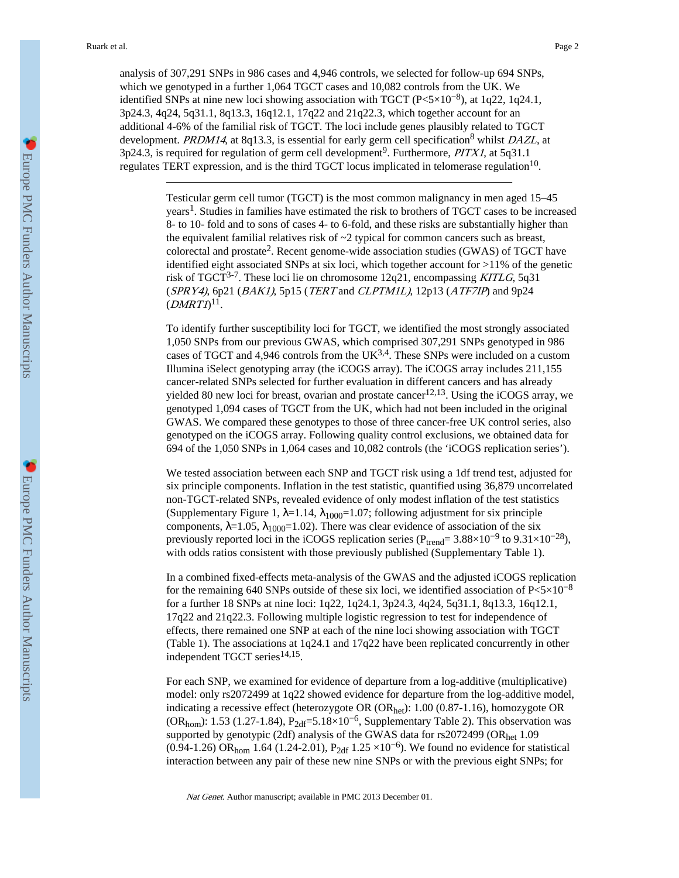analysis of 307,291 SNPs in 986 cases and 4,946 controls, we selected for follow-up 694 SNPs, which we genotyped in a further 1,064 TGCT cases and 10,082 controls from the UK. We identified SNPs at nine new loci showing association with TGCT (P<5×10<sup>-8</sup>), at 1q22, 1q24.1, 3p24.3, 4q24, 5q31.1, 8q13.3, 16q12.1, 17q22 and 21q22.3, which together account for an additional 4-6% of the familial risk of TGCT. The loci include genes plausibly related to TGCT development. *PRDM14*, at 8q13.3, is essential for early germ cell specification<sup>8</sup> whilst *DAZL*, at  $3p24.3$ , is required for regulation of germ cell development<sup>9</sup>. Furthermore, *PITX1*, at 5q31.1 regulates TERT expression, and is the third TGCT locus implicated in telomerase regulation<sup>10</sup>.

> Testicular germ cell tumor (TGCT) is the most common malignancy in men aged 15–45 years<sup>1</sup>. Studies in families have estimated the risk to brothers of TGCT cases to be increased 8- to 10- fold and to sons of cases 4- to 6-fold, and these risks are substantially higher than the equivalent familial relatives risk of  $\sim$ 2 typical for common cancers such as breast, colorectal and prostate<sup>2</sup>. Recent genome-wide association studies (GWAS) of TGCT have identified eight associated SNPs at six loci, which together account for >11% of the genetic risk of TGCT<sup>3-7</sup>. These loci lie on chromosome 12q21, encompassing *KITLG*, 5q31 (SPRY4), 6p21 (BAK1), 5p15 (TERT and CLPTM1L), 12p13 (ATF7IP) and 9p24  $(DMRTI)^{11}.$

> To identify further susceptibility loci for TGCT, we identified the most strongly associated 1,050 SNPs from our previous GWAS, which comprised 307,291 SNPs genotyped in 986 cases of TGCT and 4,946 controls from the  $UK<sup>3,4</sup>$ . These SNPs were included on a custom Illumina iSelect genotyping array (the iCOGS array). The iCOGS array includes 211,155 cancer-related SNPs selected for further evaluation in different cancers and has already yielded 80 new loci for breast, ovarian and prostate cancer<sup>12,13</sup>. Using the iCOGS array, we genotyped 1,094 cases of TGCT from the UK, which had not been included in the original GWAS. We compared these genotypes to those of three cancer-free UK control series, also genotyped on the iCOGS array. Following quality control exclusions, we obtained data for 694 of the 1,050 SNPs in 1,064 cases and 10,082 controls (the 'iCOGS replication series').

> We tested association between each SNP and TGCT risk using a 1df trend test, adjusted for six principle components. Inflation in the test statistic, quantified using 36,879 uncorrelated non-TGCT-related SNPs, revealed evidence of only modest inflation of the test statistics (Supplementary Figure 1, =1.14,  $_{1000}$ =1.07; following adjustment for six principle components,  $=1.05$ ,  $1000=1.02$ ). There was clear evidence of association of the six previously reported loci in the iCOGS replication series ( $P_{trend} = 3.88 \times 10^{-9}$  to  $9.31 \times 10^{-28}$ ), with odds ratios consistent with those previously published (Supplementary Table 1).

> In a combined fixed-effects meta-analysis of the GWAS and the adjusted iCOGS replication for the remaining 640 SNPs outside of these six loci, we identified association of  $P \le 5 \times 10^{-8}$ for a further 18 SNPs at nine loci: 1q22, 1q24.1, 3p24.3, 4q24, 5q31.1, 8q13.3, 16q12.1, 17q22 and 21q22.3. Following multiple logistic regression to test for independence of effects, there remained one SNP at each of the nine loci showing association with TGCT (Table 1). The associations at 1q24.1 and 17q22 have been replicated concurrently in other independent TGCT series<sup>14,15</sup>.

> For each SNP, we examined for evidence of departure from a log-additive (multiplicative) model: only rs2072499 at 1q22 showed evidence for departure from the log-additive model, indicating a recessive effect (heterozygote OR (ORhet): 1.00 (0.87-1.16), homozygote OR (OR<sub>hom</sub>): 1.53 (1.27-1.84), P<sub>2df</sub>=5.18×10<sup>-6</sup>, Supplementary Table 2). This observation was supported by genotypic (2df) analysis of the GWAS data for rs2072499 (ORhet 1.09  $(0.94-1.26)$  OR<sub>hom</sub> 1.64 (1.24-2.01), P<sub>2df</sub> 1.25 ×10<sup>-6</sup>). We found no evidence for statistical interaction between any pair of these new nine SNPs or with the previous eight SNPs; for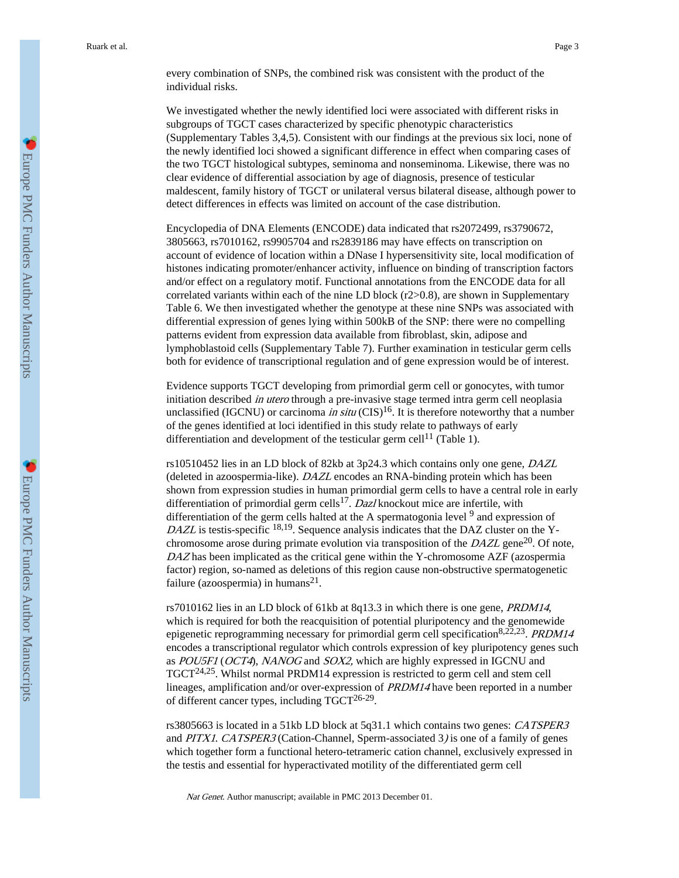every combination of SNPs, the combined risk was consistent with the product of the individual risks.

We investigated whether the newly identified loci were associated with different risks in subgroups of TGCT cases characterized by specific phenotypic characteristics (Supplementary Tables 3,4,5). Consistent with our findings at the previous six loci, none of the newly identified loci showed a significant difference in effect when comparing cases of the two TGCT histological subtypes, seminoma and nonseminoma. Likewise, there was no clear evidence of differential association by age of diagnosis, presence of testicular maldescent, family history of TGCT or unilateral versus bilateral disease, although power to detect differences in effects was limited on account of the case distribution.

Encyclopedia of DNA Elements (ENCODE) data indicated that rs2072499, rs3790672, 3805663, rs7010162, rs9905704 and rs2839186 may have effects on transcription on account of evidence of location within a DNase I hypersensitivity site, local modification of histones indicating promoter/enhancer activity, influence on binding of transcription factors and/or effect on a regulatory motif. Functional annotations from the ENCODE data for all correlated variants within each of the nine LD block  $(r2>0.8)$ , are shown in Supplementary Table 6. We then investigated whether the genotype at these nine SNPs was associated with differential expression of genes lying within 500kB of the SNP: there were no compelling patterns evident from expression data available from fibroblast, skin, adipose and lymphoblastoid cells (Supplementary Table 7). Further examination in testicular germ cells both for evidence of transcriptional regulation and of gene expression would be of interest.

Evidence supports TGCT developing from primordial germ cell or gonocytes, with tumor initiation described in utero through a pre-invasive stage termed intra germ cell neoplasia unclassified (IGCNU) or carcinoma in situ (CIS)<sup>16</sup>. It is therefore noteworthy that a number of the genes identified at loci identified in this study relate to pathways of early differentiation and development of the testicular germ cell<sup>11</sup> (Table 1).

rs10510452 lies in an LD block of 82kb at 3p24.3 which contains only one gene, DAZL (deleted in azoospermia-like). DAZL encodes an RNA-binding protein which has been shown from expression studies in human primordial germ cells to have a central role in early differentiation of primordial germ cells<sup>17</sup>. Dazl knockout mice are infertile, with differentiation of the germ cells halted at the A spermatogonia level <sup>9</sup> and expression of DAZL is testis-specific  $18,19$ . Sequence analysis indicates that the DAZ cluster on the Ychromosome arose during primate evolution via transposition of the  $DAZL$  gene<sup>20</sup>. Of note, DAZ has been implicated as the critical gene within the Y-chromosome AZF (azospermia factor) region, so-named as deletions of this region cause non-obstructive spermatogenetic failure (azoospermia) in humans<sup>21</sup>.

rs7010162 lies in an LD block of 61kb at 8q13.3 in which there is one gene, PRDM14, which is required for both the reacquisition of potential pluripotency and the genomewide epigenetic reprogramming necessary for primordial germ cell specification<sup>8,22,23</sup>. *PRDM14* encodes a transcriptional regulator which controls expression of key pluripotency genes such as POU5F1 (OCT4), NANOG and SOX2, which are highly expressed in IGCNU and TGCT24,25. Whilst normal PRDM14 expression is restricted to germ cell and stem cell lineages, amplification and/or over-expression of PRDM14 have been reported in a number of different cancer types, including  $TGCT^{26-29}$ .

rs3805663 is located in a 51kb LD block at 5q31.1 which contains two genes: CATSPER3 and PITX1. CATSPER3 (Cation-Channel, Sperm-associated 3) is one of a family of genes which together form a functional hetero-tetrameric cation channel, exclusively expressed in the testis and essential for hyperactivated motility of the differentiated germ cell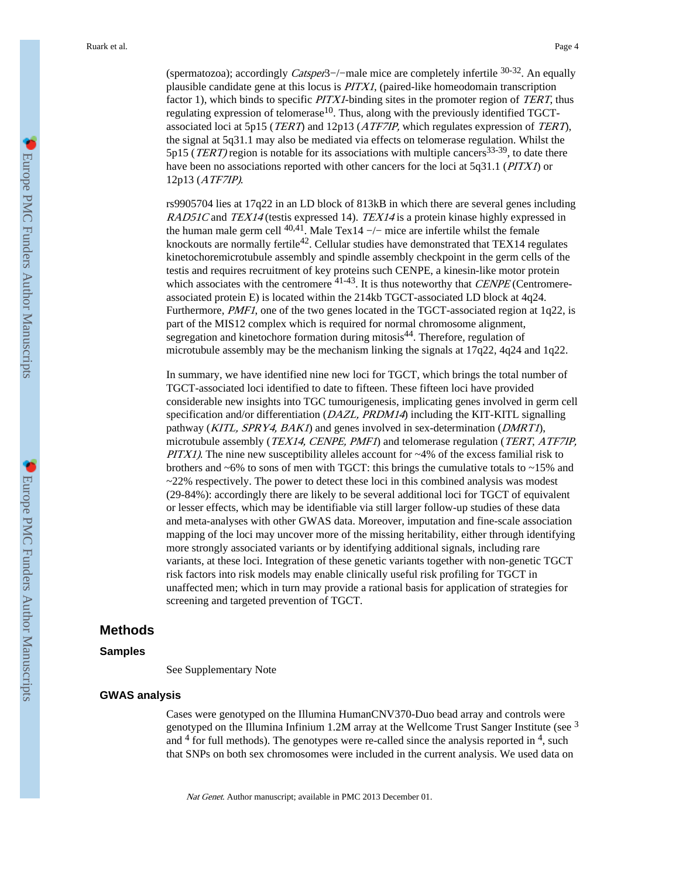(spermatozoa); accordingly Catsper3−/−male mice are completely infertile 30-32. An equally plausible candidate gene at this locus is PITX1, (paired-like homeodomain transcription factor 1), which binds to specific PITX1-binding sites in the promoter region of TERT, thus regulating expression of telomerase<sup>10</sup>. Thus, along with the previously identified TGCTassociated loci at 5p15 (TERT) and 12p13 (ATF7IP, which regulates expression of TERT), the signal at 5q31.1 may also be mediated via effects on telomerase regulation. Whilst the 5p15 (*TERT*) region is notable for its associations with multiple cancers<sup>33-39</sup>, to date there have been no associations reported with other cancers for the loci at 5q31.1 (PITX1) or 12p13 (ATF7IP).

rs9905704 lies at 17q22 in an LD block of 813kB in which there are several genes including RAD51C and TEX14 (testis expressed 14). TEX14 is a protein kinase highly expressed in the human male germ cell  $40,41$ . Male Tex14 -/- mice are infertile whilst the female knockouts are normally fertile<sup>42</sup>. Cellular studies have demonstrated that TEX14 regulates kinetochoremicrotubule assembly and spindle assembly checkpoint in the germ cells of the testis and requires recruitment of key proteins such CENPE, a kinesin-like motor protein which associates with the centromere  $41-43$ . It is thus noteworthy that *CENPE* (Centromereassociated protein E) is located within the 214kb TGCT-associated LD block at 4q24. Furthermore, *PMF1*, one of the two genes located in the TGCT-associated region at  $1q22$ , is part of the MIS12 complex which is required for normal chromosome alignment, segregation and kinetochore formation during mitosis<sup>44</sup>. Therefore, regulation of microtubule assembly may be the mechanism linking the signals at 17q22, 4q24 and 1q22.

In summary, we have identified nine new loci for TGCT, which brings the total number of TGCT-associated loci identified to date to fifteen. These fifteen loci have provided considerable new insights into TGC tumourigenesis, implicating genes involved in germ cell specification and/or differentiation (*DAZL, PRDM14*) including the KIT-KITL signalling pathway (*KITL, SPRY4, BAKI*) and genes involved in sex-determination (*DMRTI*), microtubule assembly (*TEX14, CENPE, PMF1*) and telomerase regulation (*TERT, ATF7IP*, *PITX1*). The nine new susceptibility alleles account for  $\sim$ 4% of the excess familial risk to brothers and  $~6\%$  to sons of men with TGCT: this brings the cumulative totals to  $~15\%$  and  $\sim$ 22% respectively. The power to detect these loci in this combined analysis was modest (29-84%): accordingly there are likely to be several additional loci for TGCT of equivalent or lesser effects, which may be identifiable via still larger follow-up studies of these data and meta-analyses with other GWAS data. Moreover, imputation and fine-scale association mapping of the loci may uncover more of the missing heritability, either through identifying more strongly associated variants or by identifying additional signals, including rare variants, at these loci. Integration of these genetic variants together with non-genetic TGCT risk factors into risk models may enable clinically useful risk profiling for TGCT in unaffected men; which in turn may provide a rational basis for application of strategies for screening and targeted prevention of TGCT.

## **Methods**

#### **Samples**

See Supplementary Note

#### **GWAS analysis**

Cases were genotyped on the Illumina HumanCNV370-Duo bead array and controls were genotyped on the Illumina Infinium 1.2M array at the Wellcome Trust Sanger Institute (see  $3$ and  $4$  for full methods). The genotypes were re-called since the analysis reported in  $4$ , such that SNPs on both sex chromosomes were included in the current analysis. We used data on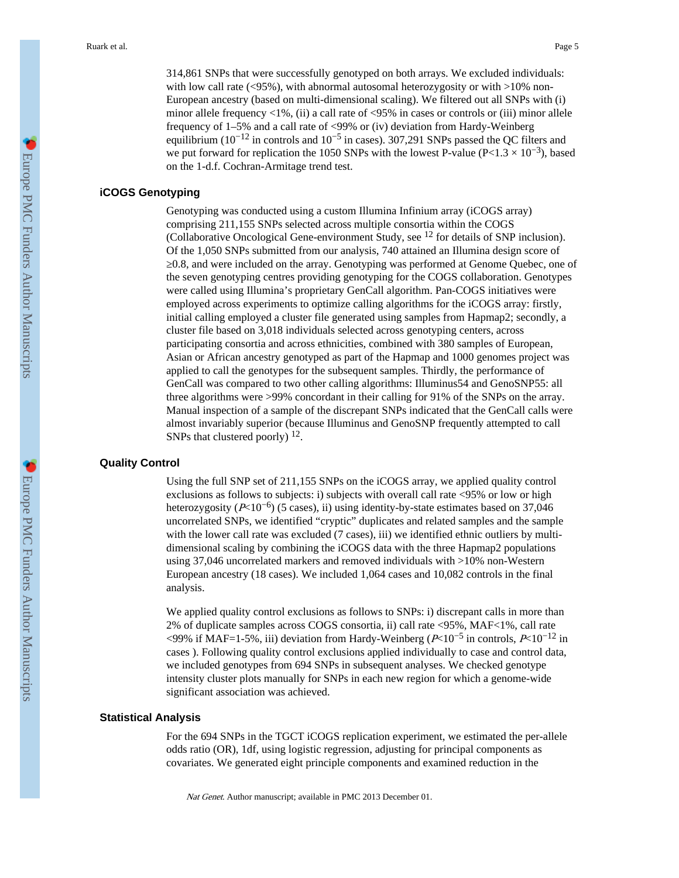314,861 SNPs that were successfully genotyped on both arrays. We excluded individuals: with low call rate  $(\leq 95\%)$ , with abnormal autosomal heterozygosity or with  $>10\%$  non-European ancestry (based on multi-dimensional scaling). We filtered out all SNPs with (i) minor allele frequency  $\langle 1\%,$  (ii) a call rate of  $\langle 95\%$  in cases or controls or (iii) minor allele frequency of 1–5% and a call rate of <99% or (iv) deviation from Hardy-Weinberg equilibrium ( $10^{-12}$  in controls and  $10^{-5}$  in cases). 307,291 SNPs passed the QC filters and we put forward for replication the 1050 SNPs with the lowest P-value (P<1.3  $\times$  10<sup>-3</sup>), based on the 1-d.f. Cochran-Armitage trend test.

## **iCOGS Genotyping**

Genotyping was conducted using a custom Illumina Infinium array (iCOGS array) comprising 211,155 SNPs selected across multiple consortia within the COGS (Collaborative Oncological Gene-environment Study, see 12 for details of SNP inclusion). Of the 1,050 SNPs submitted from our analysis, 740 attained an Illumina design score of 0.8, and were included on the array. Genotyping was performed at Genome Quebec, one of the seven genotyping centres providing genotyping for the COGS collaboration. Genotypes were called using Illumina's proprietary GenCall algorithm. Pan-COGS initiatives were employed across experiments to optimize calling algorithms for the iCOGS array: firstly, initial calling employed a cluster file generated using samples from Hapmap2; secondly, a cluster file based on 3,018 individuals selected across genotyping centers, across participating consortia and across ethnicities, combined with 380 samples of European, Asian or African ancestry genotyped as part of the Hapmap and 1000 genomes project was applied to call the genotypes for the subsequent samples. Thirdly, the performance of GenCall was compared to two other calling algorithms: Illuminus54 and GenoSNP55: all three algorithms were >99% concordant in their calling for 91% of the SNPs on the array. Manual inspection of a sample of the discrepant SNPs indicated that the GenCall calls were almost invariably superior (because Illuminus and GenoSNP frequently attempted to call SNPs that clustered poorly)  $12$ .

#### **Quality Control**

Using the full SNP set of 211,155 SNPs on the iCOGS array, we applied quality control exclusions as follows to subjects: i) subjects with overall call rate <95% or low or high heterozygosity ( $P<10^{-6}$ ) (5 cases), ii) using identity-by-state estimates based on 37,046 uncorrelated SNPs, we identified "cryptic" duplicates and related samples and the sample with the lower call rate was excluded (7 cases), iii) we identified ethnic outliers by multidimensional scaling by combining the iCOGS data with the three Hapmap2 populations using 37,046 uncorrelated markers and removed individuals with >10% non-Western European ancestry (18 cases). We included 1,064 cases and 10,082 controls in the final analysis.

We applied quality control exclusions as follows to SNPs: i) discrepant calls in more than 2% of duplicate samples across COGS consortia, ii) call rate <95%, MAF<1%, call rate <99% if MAF=1-5%, iii) deviation from Hardy-Weinberg ( $P≤10<sup>-5</sup>$  in controls,  $P≤10<sup>-12</sup>$  in cases ). Following quality control exclusions applied individually to case and control data, we included genotypes from 694 SNPs in subsequent analyses. We checked genotype intensity cluster plots manually for SNPs in each new region for which a genome-wide significant association was achieved.

#### **Statistical Analysis**

For the 694 SNPs in the TGCT iCOGS replication experiment, we estimated the per-allele odds ratio (OR), 1df, using logistic regression, adjusting for principal components as covariates. We generated eight principle components and examined reduction in the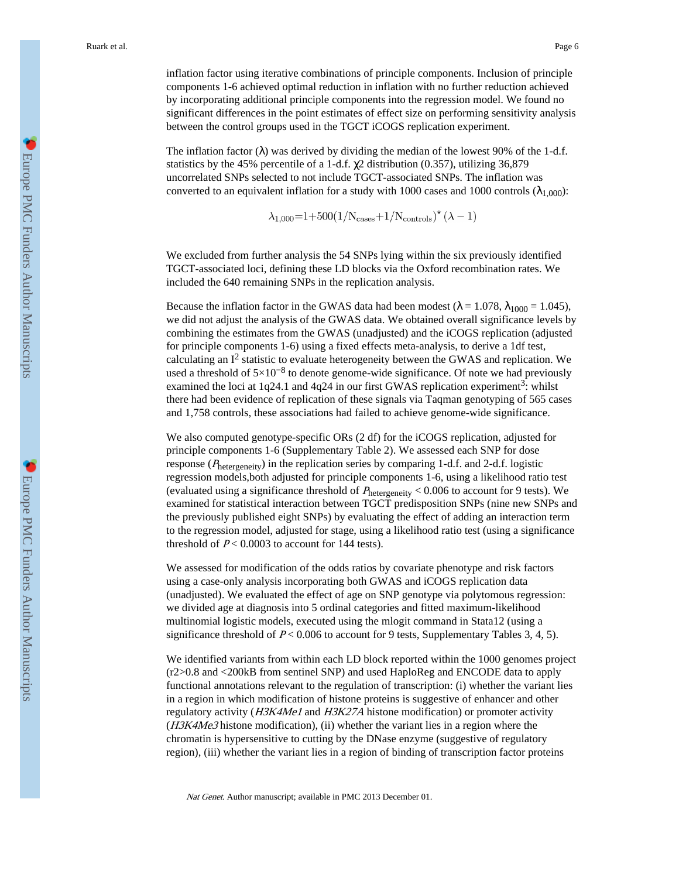inflation factor using iterative combinations of principle components. Inclusion of principle components 1-6 achieved optimal reduction in inflation with no further reduction achieved by incorporating additional principle components into the regression model. We found no significant differences in the point estimates of effect size on performing sensitivity analysis between the control groups used in the TGCT iCOGS replication experiment.

The inflation factor ( ) was derived by dividing the median of the lowest 90% of the 1-d.f. statistics by the 45% percentile of a 1-d.f. 2 distribution (0.357), utilizing 36,879 uncorrelated SNPs selected to not include TGCT-associated SNPs. The inflation was converted to an equivalent inflation for a study with 1000 cases and 1000 controls  $\binom{1,000}{}$ :

$$
\lambda_{1,000} = 1 + 500(1/N_{\text{cases}} + 1/N_{\text{controls}})^*(\lambda - 1)
$$

We excluded from further analysis the 54 SNPs lying within the six previously identified TGCT-associated loci, defining these LD blocks via the Oxford recombination rates. We included the 640 remaining SNPs in the replication analysis.

Because the inflation factor in the GWAS data had been modest ( $= 1.078$ ,  $_{1000} = 1.045$ ), we did not adjust the analysis of the GWAS data. We obtained overall significance levels by combining the estimates from the GWAS (unadjusted) and the iCOGS replication (adjusted for principle components 1-6) using a fixed effects meta-analysis, to derive a 1df test, calculating an  $I^2$  statistic to evaluate heterogeneity between the GWAS and replication. We used a threshold of  $5\times10^{-8}$  to denote genome-wide significance. Of note we had previously examined the loci at 1q24.1 and 4q24 in our first GWAS replication experiment<sup>3</sup>: whilst there had been evidence of replication of these signals via Taqman genotyping of 565 cases and 1,758 controls, these associations had failed to achieve genome-wide significance.

We also computed genotype-specific ORs (2 df) for the iCOGS replication, adjusted for principle components 1-6 (Supplementary Table 2). We assessed each SNP for dose response (<sup>P</sup>hetergeneity) in the replication series by comparing 1-d.f. and 2-d.f. logistic regression models,both adjusted for principle components 1-6, using a likelihood ratio test (evaluated using a significance threshold of  $P_{hetergeneity}$  < 0.006 to account for 9 tests). We examined for statistical interaction between TGCT predisposition SNPs (nine new SNPs and the previously published eight SNPs) by evaluating the effect of adding an interaction term to the regression model, adjusted for stage, using a likelihood ratio test (using a significance threshold of  $P < 0.0003$  to account for 144 tests).

We assessed for modification of the odds ratios by covariate phenotype and risk factors using a case-only analysis incorporating both GWAS and iCOGS replication data (unadjusted). We evaluated the effect of age on SNP genotype via polytomous regression: we divided age at diagnosis into 5 ordinal categories and fitted maximum-likelihood multinomial logistic models, executed using the mlogit command in Stata12 (using a significance threshold of  $P < 0.006$  to account for 9 tests, Supplementary Tables 3, 4, 5).

We identified variants from within each LD block reported within the 1000 genomes project (r2>0.8 and <200kB from sentinel SNP) and used HaploReg and ENCODE data to apply functional annotations relevant to the regulation of transcription: (i) whether the variant lies in a region in which modification of histone proteins is suggestive of enhancer and other regulatory activity (H3K4Me1 and H3K27A histone modification) or promoter activity  $(H3K4Me3$  histone modification), (ii) whether the variant lies in a region where the chromatin is hypersensitive to cutting by the DNase enzyme (suggestive of regulatory region), (iii) whether the variant lies in a region of binding of transcription factor proteins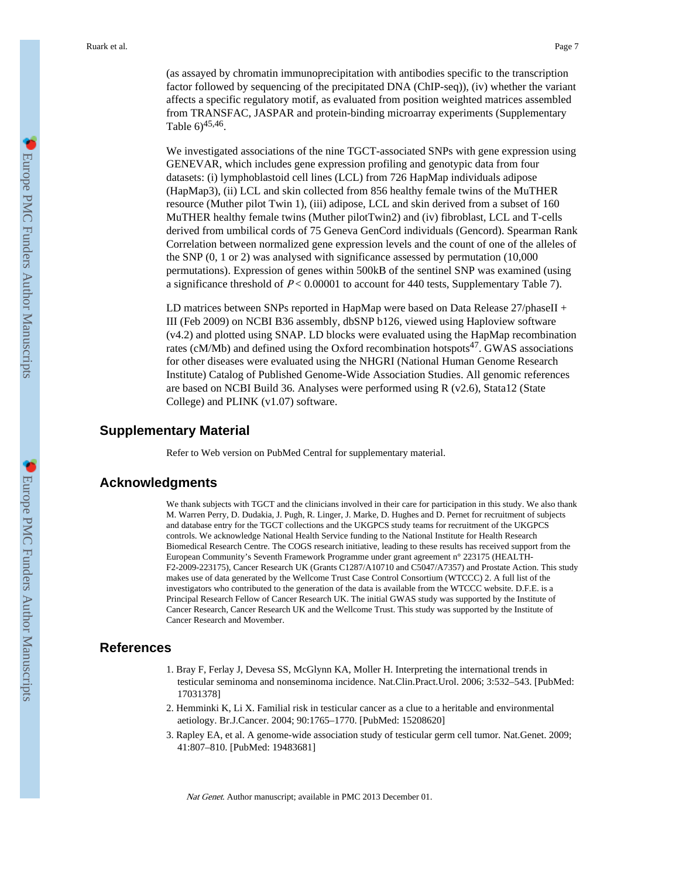(as assayed by chromatin immunoprecipitation with antibodies specific to the transcription factor followed by sequencing of the precipitated DNA (ChIP-seq)), (iv) whether the variant affects a specific regulatory motif, as evaluated from position weighted matrices assembled from TRANSFAC, JASPAR and protein-binding microarray experiments (Supplementary Table  $6)^{45,46}$ .

We investigated associations of the nine TGCT-associated SNPs with gene expression using GENEVAR, which includes gene expression profiling and genotypic data from four datasets: (i) lymphoblastoid cell lines (LCL) from 726 HapMap individuals adipose (HapMap3), (ii) LCL and skin collected from 856 healthy female twins of the MuTHER resource (Muther pilot Twin 1), (iii) adipose, LCL and skin derived from a subset of 160 MuTHER healthy female twins (Muther pilotTwin2) and (iv) fibroblast, LCL and T-cells derived from umbilical cords of 75 Geneva GenCord individuals (Gencord). Spearman Rank Correlation between normalized gene expression levels and the count of one of the alleles of the SNP (0, 1 or 2) was analysed with significance assessed by permutation (10,000 permutations). Expression of genes within 500kB of the sentinel SNP was examined (using a significance threshold of  $P < 0.00001$  to account for 440 tests, Supplementary Table 7).

LD matrices between SNPs reported in HapMap were based on Data Release 27/phaseII + III (Feb 2009) on NCBI B36 assembly, dbSNP b126, viewed using Haploview software (v4.2) and plotted using SNAP. LD blocks were evaluated using the HapMap recombination rates (cM/Mb) and defined using the Oxford recombination hotspots<sup>47</sup>. GWAS associations for other diseases were evaluated using the NHGRI (National Human Genome Research Institute) Catalog of Published Genome-Wide Association Studies. All genomic references are based on NCBI Build 36. Analyses were performed using R (v2.6), Stata12 (State College) and PLINK (v1.07) software.

#### **Supplementary Material**

Refer to Web version on PubMed Central for supplementary material.

# **Acknowledgments**

We thank subjects with TGCT and the clinicians involved in their care for participation in this study. We also thank M. Warren Perry, D. Dudakia, J. Pugh, R. Linger, J. Marke, D. Hughes and D. Pernet for recruitment of subjects and database entry for the TGCT collections and the UKGPCS study teams for recruitment of the UKGPCS controls. We acknowledge National Health Service funding to the National Institute for Health Research Biomedical Research Centre. The COGS research initiative, leading to these results has received support from the European Community's Seventh Framework Programme under grant agreement n° 223175 (HEALTH-F2-2009-223175), Cancer Research UK (Grants C1287/A10710 and C5047/A7357) and Prostate Action. This study makes use of data generated by the Wellcome Trust Case Control Consortium (WTCCC) 2. A full list of the investigators who contributed to the generation of the data is available from the WTCCC website. D.F.E. is a Principal Research Fellow of Cancer Research UK. The initial GWAS study was supported by the Institute of Cancer Research, Cancer Research UK and the Wellcome Trust. This study was supported by the Institute of Cancer Research and Movember.

# **References**

- 1. Bray F, Ferlay J, Devesa SS, McGlynn KA, Moller H. Interpreting the international trends in testicular seminoma and nonseminoma incidence. Nat.Clin.Pract.Urol. 2006; 3:532–543. [PubMed: 17031378]
- 2. Hemminki K, Li X. Familial risk in testicular cancer as a clue to a heritable and environmental aetiology. Br.J.Cancer. 2004; 90:1765–1770. [PubMed: 15208620]
- 3. Rapley EA, et al. A genome-wide association study of testicular germ cell tumor. Nat.Genet. 2009; 41:807–810. [PubMed: 19483681]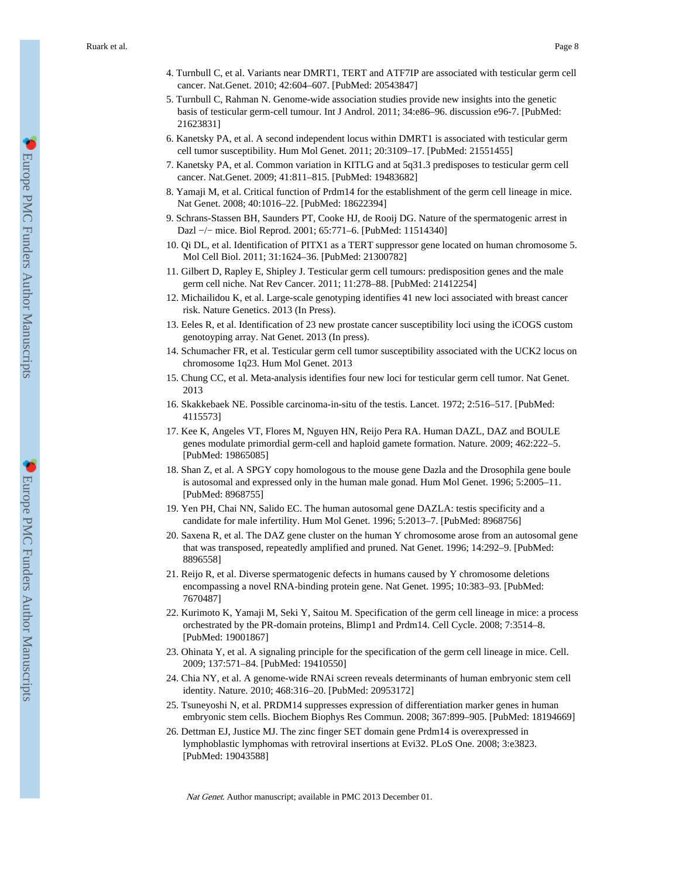- 5. Turnbull C, Rahman N. Genome-wide association studies provide new insights into the genetic basis of testicular germ-cell tumour. Int J Androl. 2011; 34:e86–96. discussion e96-7. [PubMed: 21623831]
- 6. Kanetsky PA, et al. A second independent locus within DMRT1 is associated with testicular germ cell tumor susceptibility. Hum Mol Genet. 2011; 20:3109–17. [PubMed: 21551455]
- 7. Kanetsky PA, et al. Common variation in KITLG and at 5q31.3 predisposes to testicular germ cell cancer. Nat.Genet. 2009; 41:811–815. [PubMed: 19483682]
- 8. Yamaji M, et al. Critical function of Prdm14 for the establishment of the germ cell lineage in mice. Nat Genet. 2008; 40:1016–22. [PubMed: 18622394]
- 9. Schrans-Stassen BH, Saunders PT, Cooke HJ, de Rooij DG. Nature of the spermatogenic arrest in Dazl −/− mice. Biol Reprod. 2001; 65:771–6. [PubMed: 11514340]
- 10. Qi DL, et al. Identification of PITX1 as a TERT suppressor gene located on human chromosome 5. Mol Cell Biol. 2011; 31:1624–36. [PubMed: 21300782]
- 11. Gilbert D, Rapley E, Shipley J. Testicular germ cell tumours: predisposition genes and the male germ cell niche. Nat Rev Cancer. 2011; 11:278–88. [PubMed: 21412254]
- 12. Michailidou K, et al. Large-scale genotyping identifies 41 new loci associated with breast cancer risk. Nature Genetics. 2013 (In Press).
- 13. Eeles R, et al. Identification of 23 new prostate cancer susceptibility loci using the iCOGS custom genotoyping array. Nat Genet. 2013 (In press).
- 14. Schumacher FR, et al. Testicular germ cell tumor susceptibility associated with the UCK2 locus on chromosome 1q23. Hum Mol Genet. 2013
- 15. Chung CC, et al. Meta-analysis identifies four new loci for testicular germ cell tumor. Nat Genet. 2013
- 16. Skakkebaek NE. Possible carcinoma-in-situ of the testis. Lancet. 1972; 2:516–517. [PubMed: 4115573]
- 17. Kee K, Angeles VT, Flores M, Nguyen HN, Reijo Pera RA. Human DAZL, DAZ and BOULE genes modulate primordial germ-cell and haploid gamete formation. Nature. 2009; 462:222–5. [PubMed: 19865085]
- 18. Shan Z, et al. A SPGY copy homologous to the mouse gene Dazla and the Drosophila gene boule is autosomal and expressed only in the human male gonad. Hum Mol Genet. 1996; 5:2005–11. [PubMed: 8968755]
- 19. Yen PH, Chai NN, Salido EC. The human autosomal gene DAZLA: testis specificity and a candidate for male infertility. Hum Mol Genet. 1996; 5:2013–7. [PubMed: 8968756]
- 20. Saxena R, et al. The DAZ gene cluster on the human Y chromosome arose from an autosomal gene that was transposed, repeatedly amplified and pruned. Nat Genet. 1996; 14:292–9. [PubMed: 8896558]
- 21. Reijo R, et al. Diverse spermatogenic defects in humans caused by Y chromosome deletions encompassing a novel RNA-binding protein gene. Nat Genet. 1995; 10:383–93. [PubMed: 7670487]
- 22. Kurimoto K, Yamaji M, Seki Y, Saitou M. Specification of the germ cell lineage in mice: a process orchestrated by the PR-domain proteins, Blimp1 and Prdm14. Cell Cycle. 2008; 7:3514–8. [PubMed: 19001867]
- 23. Ohinata Y, et al. A signaling principle for the specification of the germ cell lineage in mice. Cell. 2009; 137:571–84. [PubMed: 19410550]
- 24. Chia NY, et al. A genome-wide RNAi screen reveals determinants of human embryonic stem cell identity. Nature. 2010; 468:316–20. [PubMed: 20953172]
- 25. Tsuneyoshi N, et al. PRDM14 suppresses expression of differentiation marker genes in human embryonic stem cells. Biochem Biophys Res Commun. 2008; 367:899–905. [PubMed: 18194669]
- 26. Dettman EJ, Justice MJ. The zinc finger SET domain gene Prdm14 is overexpressed in lymphoblastic lymphomas with retroviral insertions at Evi32. PLoS One. 2008; 3:e3823. [PubMed: 19043588]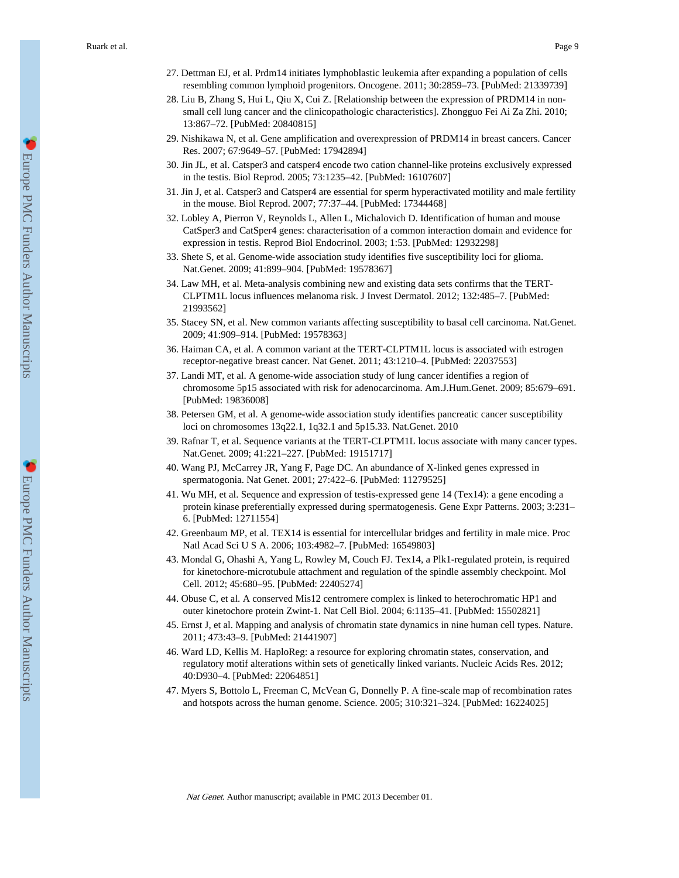- 27. Dettman EJ, et al. Prdm14 initiates lymphoblastic leukemia after expanding a population of cells resembling common lymphoid progenitors. Oncogene. 2011; 30:2859–73. [PubMed: 21339739]
- 28. Liu B, Zhang S, Hui L, Qiu X, Cui Z. [Relationship between the expression of PRDM14 in nonsmall cell lung cancer and the clinicopathologic characteristics]. Zhongguo Fei Ai Za Zhi. 2010; 13:867–72. [PubMed: 20840815]
- 29. Nishikawa N, et al. Gene amplification and overexpression of PRDM14 in breast cancers. Cancer Res. 2007; 67:9649–57. [PubMed: 17942894]
- 30. Jin JL, et al. Catsper3 and catsper4 encode two cation channel-like proteins exclusively expressed in the testis. Biol Reprod. 2005; 73:1235–42. [PubMed: 16107607]
- 31. Jin J, et al. Catsper3 and Catsper4 are essential for sperm hyperactivated motility and male fertility in the mouse. Biol Reprod. 2007; 77:37–44. [PubMed: 17344468]
- 32. Lobley A, Pierron V, Reynolds L, Allen L, Michalovich D. Identification of human and mouse CatSper3 and CatSper4 genes: characterisation of a common interaction domain and evidence for expression in testis. Reprod Biol Endocrinol. 2003; 1:53. [PubMed: 12932298]
- 33. Shete S, et al. Genome-wide association study identifies five susceptibility loci for glioma. Nat.Genet. 2009; 41:899–904. [PubMed: 19578367]
- 34. Law MH, et al. Meta-analysis combining new and existing data sets confirms that the TERT-CLPTM1L locus influences melanoma risk. J Invest Dermatol. 2012; 132:485–7. [PubMed: 21993562]
- 35. Stacey SN, et al. New common variants affecting susceptibility to basal cell carcinoma. Nat.Genet. 2009; 41:909–914. [PubMed: 19578363]
- 36. Haiman CA, et al. A common variant at the TERT-CLPTM1L locus is associated with estrogen receptor-negative breast cancer. Nat Genet. 2011; 43:1210–4. [PubMed: 22037553]
- 37. Landi MT, et al. A genome-wide association study of lung cancer identifies a region of chromosome 5p15 associated with risk for adenocarcinoma. Am.J.Hum.Genet. 2009; 85:679–691. [PubMed: 19836008]
- 38. Petersen GM, et al. A genome-wide association study identifies pancreatic cancer susceptibility loci on chromosomes 13q22.1, 1q32.1 and 5p15.33. Nat.Genet. 2010
- 39. Rafnar T, et al. Sequence variants at the TERT-CLPTM1L locus associate with many cancer types. Nat.Genet. 2009; 41:221–227. [PubMed: 19151717]
- 40. Wang PJ, McCarrey JR, Yang F, Page DC. An abundance of X-linked genes expressed in spermatogonia. Nat Genet. 2001; 27:422–6. [PubMed: 11279525]
- 41. Wu MH, et al. Sequence and expression of testis-expressed gene 14 (Tex14): a gene encoding a protein kinase preferentially expressed during spermatogenesis. Gene Expr Patterns. 2003; 3:231– 6. [PubMed: 12711554]
- 42. Greenbaum MP, et al. TEX14 is essential for intercellular bridges and fertility in male mice. Proc Natl Acad Sci U S A. 2006; 103:4982–7. [PubMed: 16549803]
- 43. Mondal G, Ohashi A, Yang L, Rowley M, Couch FJ. Tex14, a Plk1-regulated protein, is required for kinetochore-microtubule attachment and regulation of the spindle assembly checkpoint. Mol Cell. 2012; 45:680–95. [PubMed: 22405274]
- 44. Obuse C, et al. A conserved Mis12 centromere complex is linked to heterochromatic HP1 and outer kinetochore protein Zwint-1. Nat Cell Biol. 2004; 6:1135–41. [PubMed: 15502821]
- 45. Ernst J, et al. Mapping and analysis of chromatin state dynamics in nine human cell types. Nature. 2011; 473:43–9. [PubMed: 21441907]
- 46. Ward LD, Kellis M. HaploReg: a resource for exploring chromatin states, conservation, and regulatory motif alterations within sets of genetically linked variants. Nucleic Acids Res. 2012; 40:D930–4. [PubMed: 22064851]
- 47. Myers S, Bottolo L, Freeman C, McVean G, Donnelly P. A fine-scale map of recombination rates and hotspots across the human genome. Science. 2005; 310:321–324. [PubMed: 16224025]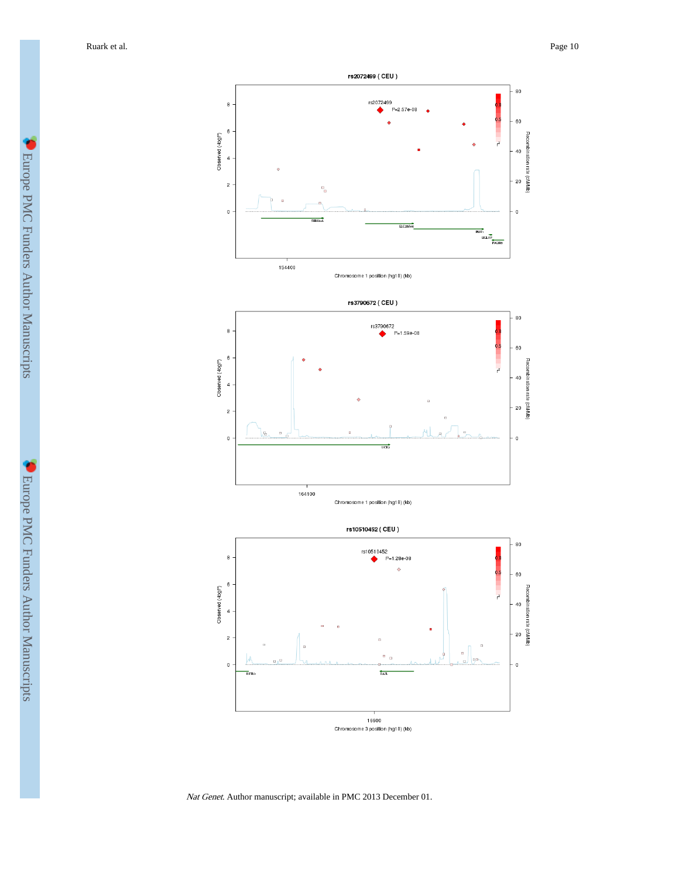Ruark et al. Page 10





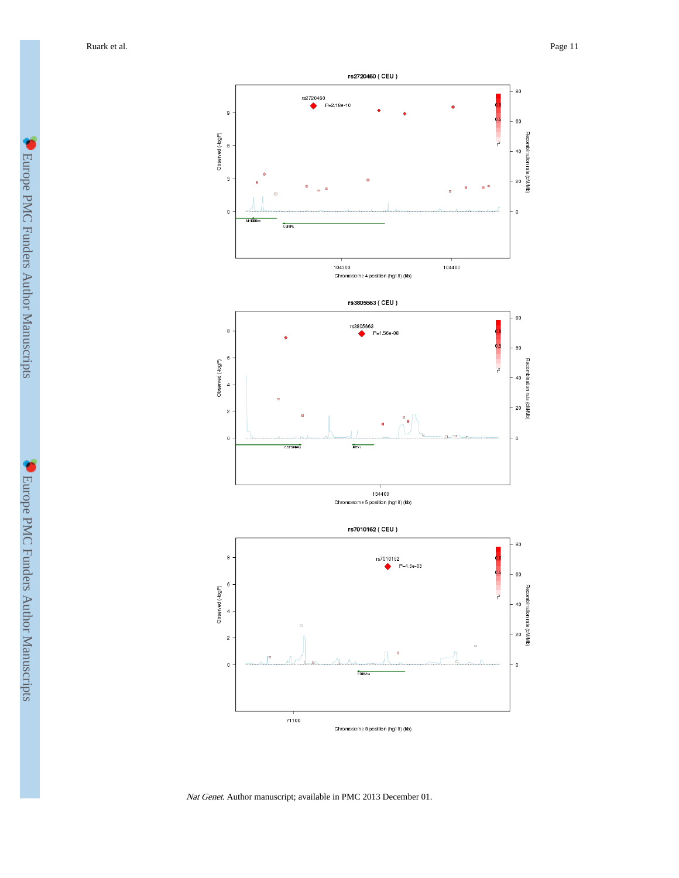

Nat Genet. Author manuscript; available in PMC 2013 December 01.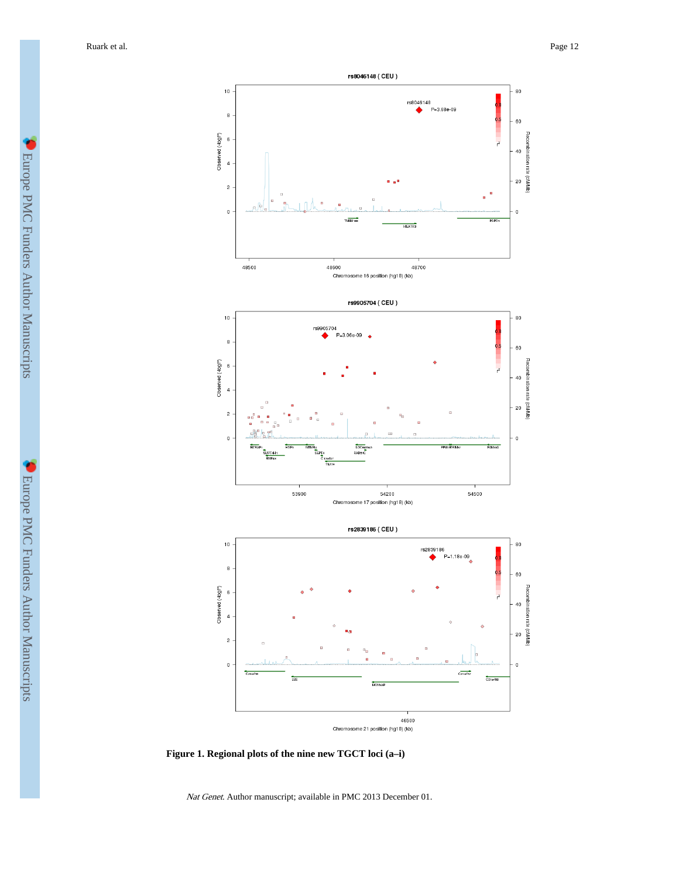

**Figure 1. Regional plots of the nine new TGCT loci (a–i)**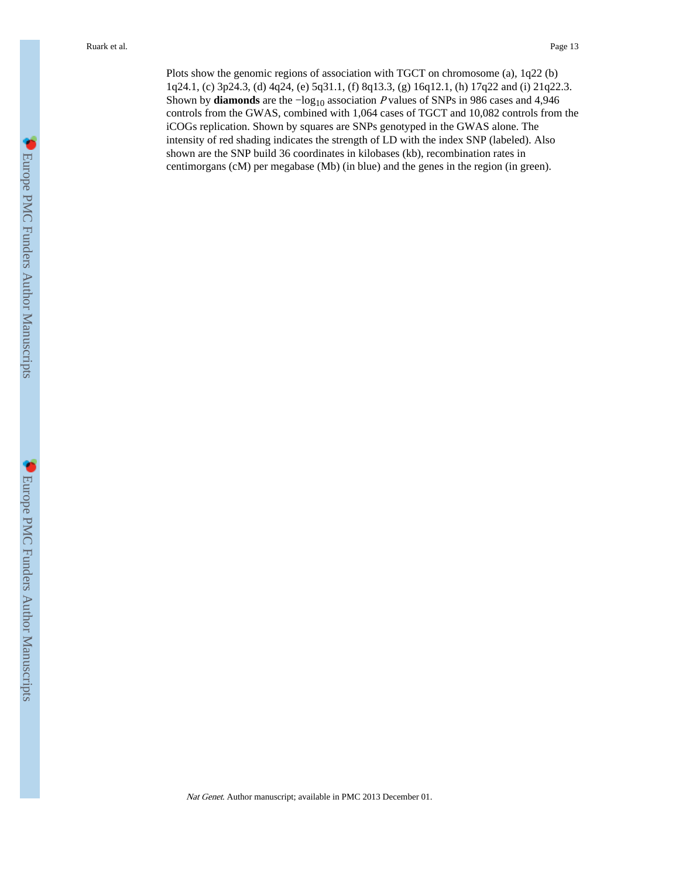Plots show the genomic regions of association with TGCT on chromosome (a), 1q22 (b) 1q24.1, (c) 3p24.3, (d) 4q24, (e) 5q31.1, (f) 8q13.3, (g) 16q12.1, (h) 17q22 and (i) 21q22.3. Shown by **diamonds** are the −log10 association P values of SNPs in 986 cases and 4,946 controls from the GWAS, combined with 1,064 cases of TGCT and 10,082 controls from the iCOGs replication. Shown by squares are SNPs genotyped in the GWAS alone. The intensity of red shading indicates the strength of LD with the index SNP (labeled). Also shown are the SNP build 36 coordinates in kilobases (kb), recombination rates in centimorgans (cM) per megabase (Mb) (in blue) and the genes in the region (in green).